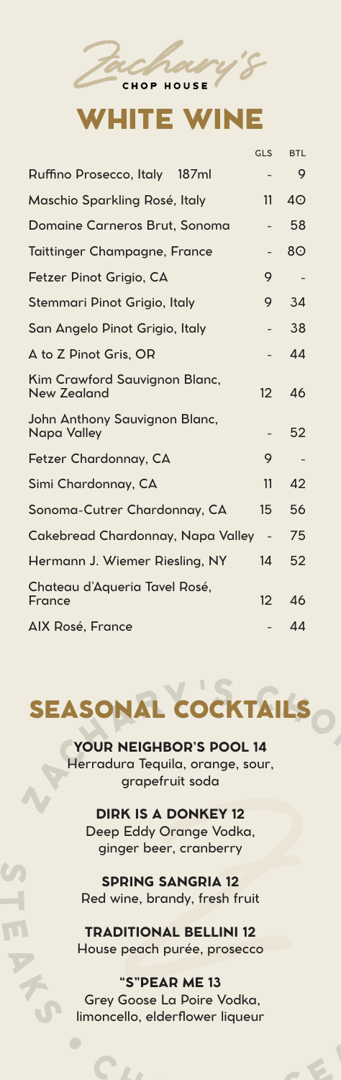## **VHITE WIN**

**CHOP HOUSE** 

|                                                     | GLS                      | <b>BTL</b>     |
|-----------------------------------------------------|--------------------------|----------------|
| Ruffino Prosecco, Italy 187ml                       |                          | 9              |
| Maschio Sparkling Rosé, Italy                       | 11                       | 4 <sup>°</sup> |
| Domaine Carneros Brut, Sonoma                       |                          | 58             |
| <b>Taittinger Champagne, France</b>                 |                          | 8 <sup>o</sup> |
| Fetzer Pinot Grigio, CA                             | 9                        |                |
| Stemmari Pinot Grigio, Italy                        | 9                        | 34             |
| San Angelo Pinot Grigio, Italy                      |                          | 38             |
| A to Z Pinot Gris, OR                               |                          | 44             |
| Kim Crawford Sauvignon Blanc,<br><b>New Zealand</b> | 12                       | 46             |
| John Anthony Sauvignon Blanc,<br><b>Napa Valley</b> |                          | 52             |
| Fetzer Chardonnay, CA                               | 9                        |                |
| Simi Chardonnay, CA                                 | 11                       | 42             |
| Sonoma-Cutrer Chardonnay, CA                        | 15                       | 56             |
| Cakebread Chardonnay, Napa Valley                   | $\overline{\phantom{a}}$ | 75             |
| Hermann J. Wiemer Riesling, NY                      | 14                       | 52             |
| Chateau d'Aqueria Tavel Rosé,<br>France             | 12                       | 46             |
| AIX Rosé, France                                    |                          | 44             |

## SEASONAL COCKTAILS

**YOUR NEIGHBOR'S POOL 14** Herradura Tequila, orange, sour, grapefruit soda

**DIRK IS A DONKEY 12** Deep Eddy Orange Vodka, ginger beer, cranberry

**SPRING SANGRIA 12** Red wine, brandy, fresh fruit

**TRADITIONAL BELLINI 12** House peach purée, prosecco

**"S"PEAR ME 13** Grey Goose La Poire Vodka, limoncello, elderflower liqueur